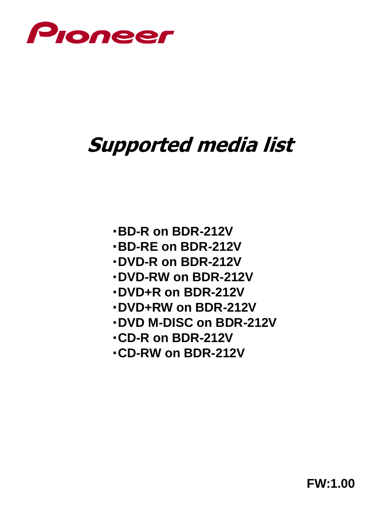

# **Supported media list**

- ・**BD-R on BDR-212V**
- ・**BD-RE on BDR-212V**
- ・**DVD-R on BDR-212V**
- ・**DVD-RW on BDR-212V**
- ・**DVD+R on BDR-212V**
- ・**DVD+RW on BDR-212V**
- ・**DVD M-DISC on BDR-212V**
- ・**CD-R on BDR-212V**
- ・**CD-RW on BDR-212V**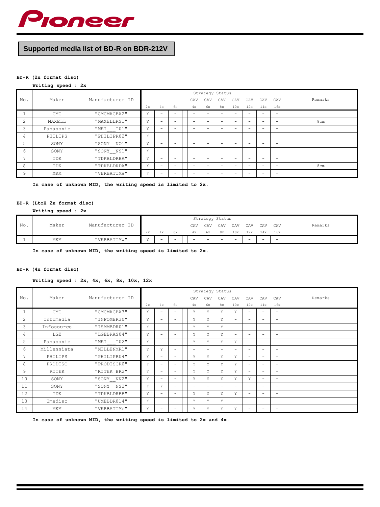

# **Supported media list of BD-R on BDR-212V**

#### **BD-R (2x format disc)**

#### **Writing speed : 2x**

|                |           |                 |    |                          |                          |                          | Strategy Status          |                          |                          |                          |     |                          |         |
|----------------|-----------|-----------------|----|--------------------------|--------------------------|--------------------------|--------------------------|--------------------------|--------------------------|--------------------------|-----|--------------------------|---------|
| No.            | Maker     | Manufacturer ID |    |                          |                          | CAV                      | CAV                      | CAV                      | CAV                      | CAV                      | CAV | CAV                      | Remarks |
|                |           |                 | 2x | 4x                       | 6x                       | 4x                       | 6x                       | 8x                       | 10x                      | 12x                      | 14x | 16x                      |         |
| 1              | CMC       | "CMCMAGBA2"     | Υ  | -                        | -                        |                          |                          |                          |                          |                          | -   | $\overline{\phantom{a}}$ |         |
| $\overline{c}$ | MAXELL    | "MAXELLRS1"     | Υ  | -                        | -                        | -                        |                          |                          |                          | $\overline{\phantom{0}}$ | -   | $\overline{\phantom{0}}$ | 8cm     |
| 3              | Panasonic | "MEI TO1"       | Υ  | -                        | -                        | -                        |                          |                          |                          | -                        | -   | $\overline{\phantom{0}}$ |         |
| 4              | PHILIPS   | "PHILIPR02"     | Υ  | -                        | -                        | -                        |                          |                          |                          | $\overline{\phantom{0}}$ | -   | -                        |         |
| 5              | SONY      | "SONY NO1"      | Υ  | -                        | <b>-</b>                 | -                        | -                        | -                        | -                        | -                        | -   | -                        |         |
| 6              | SONY      | "SONY_NS1"      | Υ  | -                        | $\overline{\phantom{0}}$ | -                        | $\overline{\phantom{0}}$ | $\overline{\phantom{0}}$ | -                        | -                        | -   | $\equiv$                 |         |
| $\overline{7}$ | TDK       | "TDKBLDRBA"     | Υ  | -                        | $\overline{\phantom{0}}$ | -                        | $\overline{\phantom{0}}$ | $\equiv$                 | -                        | $\overline{\phantom{0}}$ | -   | $\overline{\phantom{0}}$ |         |
| 8              | TDK       | "TDKBLDRDA"     | Υ  | $\overline{\phantom{0}}$ | $\overline{\phantom{0}}$ | $\overline{\phantom{0}}$ | $\overline{\phantom{0}}$ | -                        | $\overline{\phantom{0}}$ | -                        | -   | -                        | 8cm     |
| 9              | MKM       | "VERBATIMa"     | Υ  | $\overline{\phantom{0}}$ | $\overline{\phantom{0}}$ | $\overline{\phantom{0}}$ | $\overline{\phantom{0}}$ | -                        | $\overline{\phantom{0}}$ | $\overline{\phantom{0}}$ | -   | -                        |         |

**In case of unknown MID, the writing speed is limited to 2x.**

# **BD-R (LtoH 2x format disc)**

#### **Writing speed : 2x**

|     |       |                 |    |                          |    |     | Strategy Status |     |     |     |     |     |         |
|-----|-------|-----------------|----|--------------------------|----|-----|-----------------|-----|-----|-----|-----|-----|---------|
| No. | Maker | Manufacturer ID |    |                          |    | CAV | CAV             | CAV | CAV | CAV | CAV | CAV | Remarks |
|     |       |                 | 2x | 4x                       | 6x | 4x  | 6х              | 8x  | 10x | 12x | 14x | 16x |         |
|     | MKM   | "VERBATIMW"     |    | $\overline{\phantom{0}}$ | -  | $-$ | -               |     | -   | -   | -   | -   |         |

**In case of unknown MID, the writing speed is limited to 2x.**

#### **BD-R (4x format disc)**

#### **Writing speed : 2x, 4x, 6x, 8x, 10x, 12x**

|                |             |                 |    |                          |                          |                          | Strategy Status |          |                          |                          |                          |                          |         |
|----------------|-------------|-----------------|----|--------------------------|--------------------------|--------------------------|-----------------|----------|--------------------------|--------------------------|--------------------------|--------------------------|---------|
| No.            | Maker       | Manufacturer ID |    |                          |                          | CAV                      | CAV             | CAV      | CAV                      | CAV                      | CAV                      | CAV                      | Remarks |
|                |             |                 | 2x | 4x                       | 6x                       | 4x                       | 6x              | 8x       | 10x                      | 12x                      | 14x                      | 16x                      |         |
| 1              | CMC         | "CMCMAGBA3"     | Υ  | $\overline{\phantom{0}}$ | $-$                      | Υ                        | Υ               | Υ        | Y                        | $\overline{\phantom{0}}$ | $\overline{\phantom{0}}$ | $\overline{\phantom{0}}$ |         |
| $\overline{c}$ | Infomedia   | "INFOMER30"     | Y  | $\overline{\phantom{0}}$ | $-$                      | Y                        | Y               | Y        | $\equiv$                 | $\overline{\phantom{0}}$ | $\overline{\phantom{0}}$ | $\overline{\phantom{0}}$ |         |
| 3              | Infosource  | "ISMMBDR01"     | Y  | $\overline{\phantom{0}}$ | $\equiv$                 | Y                        | Y               | Y        | $\overline{\phantom{0}}$ | $\overline{\phantom{0}}$ | $\overline{\phantom{0}}$ | $\overline{\phantom{0}}$ |         |
| 4              | LGE         | "LGEBRAS04"     | Y  | $\overline{\phantom{0}}$ | $\equiv$                 | Υ                        | Y               | Y        | $\equiv$                 | $\overline{\phantom{0}}$ | $\overline{\phantom{0}}$ | $\overline{\phantom{0}}$ |         |
| 5              | Panasonic   | "MEI T02"       | Υ  | $\overline{\phantom{0}}$ | $\equiv$                 | Υ                        | Y               | Y        | Y                        | $\overline{\phantom{0}}$ | $\overline{\phantom{0}}$ | $\overline{\phantom{0}}$ |         |
| 6              | Millenniata | "MILLENMR1"     | Υ  | Υ                        | $\equiv$                 | $\overline{\phantom{a}}$ | $\sim$          | $\equiv$ | $\overline{\phantom{0}}$ | $\overline{\phantom{0}}$ | $\overline{\phantom{0}}$ | $\overline{\phantom{0}}$ |         |
| $\overline{7}$ | PHILIPS     | "PHILIPR04"     | Y  | $\overline{\phantom{0}}$ | $\equiv$                 | Υ                        | Υ               | Y        | Υ                        | $\overline{\phantom{0}}$ | $\overline{\phantom{0}}$ | $\overline{\phantom{0}}$ |         |
| 8              | PRODISC     | "PRODISCRO"     | Υ  | $\overline{\phantom{0}}$ | $\equiv$                 | Υ                        | Υ               | Y        | Y                        | $\overline{\phantom{0}}$ | $\overline{\phantom{0}}$ | $\overline{\phantom{0}}$ |         |
| 9              | RITEK       | "RITEK BR2"     | Υ  | $\overline{\phantom{0}}$ | $\overline{\phantom{0}}$ | Υ                        | Υ               | Y        | Υ                        | $\overline{\phantom{0}}$ | $\equiv$                 | $\equiv$                 |         |
| 10             | SONY        | "SONY NN2"      | Υ  | $\overline{\phantom{0}}$ | $-$                      | Υ                        | Y               | Y        | Y                        | Y                        | $\overline{\phantom{0}}$ | $\overline{\phantom{0}}$ |         |
| 11             | SONY        | "SONY NS2"      | Y  | Y                        | $\equiv$                 | $\overline{\phantom{a}}$ | -               | $\equiv$ | $\equiv$                 | $\overline{\phantom{0}}$ | $\overline{\phantom{0}}$ | $\overline{\phantom{0}}$ |         |
| 12             | TDK         | "TDKBLDRBB"     | Y  | $\overline{\phantom{0}}$ | $\equiv$                 | Υ                        | Y               | Y        | Y                        | $\overline{\phantom{0}}$ | $\overline{\phantom{0}}$ | $\overline{\phantom{a}}$ |         |
| 13             | Umedisc     | "UMEBDR014"     | Υ  | $\overline{\phantom{0}}$ | $\equiv$                 | Y                        | Y               | Y        | $\equiv$                 | $\overline{\phantom{0}}$ | $\overline{\phantom{0}}$ | $\overline{\phantom{0}}$ |         |
| 14             | MKM         | "VERBATIMC"     | Y  | $\overline{\phantom{0}}$ | $\equiv$                 | Υ                        | Υ               | Υ        | Y                        | $\overline{\phantom{0}}$ | $\overline{\phantom{0}}$ | $\overline{\phantom{0}}$ |         |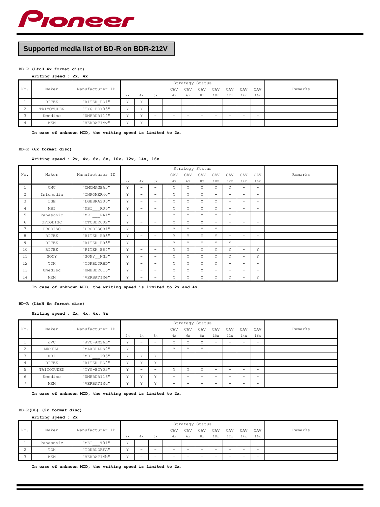

# **Supported media list of BD-R on BDR-212V**

#### **BD-R (LtoH 4x format disc)**

**Writing speed : 2x, 4x**

|     |            |                 |    |              |        |                          | Strategy Status          |                          |                          |                          |     |                          |         |
|-----|------------|-----------------|----|--------------|--------|--------------------------|--------------------------|--------------------------|--------------------------|--------------------------|-----|--------------------------|---------|
| No. | Maker      | Manufacturer ID |    |              |        | CAV                      | CAV                      | CAV                      | CAV                      | CAV                      | CAV | CAV                      | Remarks |
|     |            |                 | 2x | 4x           | 6x     | 4x                       | 6x                       | 8x                       | 10x                      | 12x                      | 14x | 16x                      |         |
|     | RITEK      | "RITEK BO1"     | 37 | $\mathbf{r}$ | -      | $\qquad \qquad =$        | $\overline{\phantom{0}}$ | $\overline{\phantom{0}}$ | $\equiv$                 | $\overline{\phantom{0}}$ | -   | $\overline{\phantom{0}}$ |         |
| 2   | TAIYOYUDEN | "TYG-BDY03"     | 37 | 37           | -      | $\qquad \qquad -$        | -                        | $\overline{\phantom{0}}$ | $\equiv$                 | $\overline{\phantom{0}}$ | -   | $\overline{\phantom{0}}$ |         |
|     | Umedisc    | "UMEBDR114"     | 37 | 37           | $\sim$ | $\overline{\phantom{0}}$ | -                        | $\overline{\phantom{0}}$ | $\overline{\phantom{0}}$ | $\overline{\phantom{0}}$ | -   | $\overline{\phantom{0}}$ |         |
| 4   | MKM        | "VERBATIMV"     | 37 | 37           | -      | $\overline{\phantom{0}}$ |                          |                          | -                        | -                        |     | -                        |         |

**In case of unknown MID, the writing speed is limited to 2x.**

#### **BD-R (6x format disc)**

**Writing speed : 2x, 4x, 6x, 8x, 10x, 12x, 14x, 16x**

|     |              |                 |    |                          |                          |     |     | Strategy Status |                          |                          |                          |                          |         |
|-----|--------------|-----------------|----|--------------------------|--------------------------|-----|-----|-----------------|--------------------------|--------------------------|--------------------------|--------------------------|---------|
| No. | Maker        | Manufacturer ID |    |                          |                          | CAV | CAV | CAV             | CAV                      | CAV                      | CAV                      | CAV                      | Remarks |
|     |              |                 | 2x | 4x                       | 6x                       | 4x  | 6x  | 8x              | 10x                      | 12x                      | 14x                      | 16x                      |         |
| 1   | CMC          | "CMCMAGBA5"     | Υ  | $\overline{\phantom{0}}$ | -                        | Υ   | Υ   | Υ               | Υ                        | Υ                        | -                        | $\overline{\phantom{0}}$ |         |
| 2   | Infomedia    | "INFOMER40"     | Υ  | $\overline{\phantom{0}}$ | -                        | Υ   | Y   | Υ               | -                        | -                        | -                        | $\overline{\phantom{0}}$ |         |
| 3   | $_{\rm LGE}$ | "LGEBRAS06"     | Υ  | $\overline{\phantom{0}}$ | -                        | Υ   | Υ   | Υ               | Υ                        | $\overline{\phantom{0}}$ | -                        | $\overline{\phantom{0}}$ |         |
| 4   | MBI          | "MBI<br>R06"    | Υ  | $\overline{\phantom{0}}$ | -                        | Υ   | Υ   | Υ               | Υ                        | $\overline{\phantom{0}}$ | $\overline{\phantom{0}}$ | $\equiv$                 |         |
| 5   | Panasonic    | "MEI<br>RA1"    | Υ  | $\overline{\phantom{0}}$ | -                        | Υ   | Y   | Υ               | Υ                        | Υ                        | -                        | $\overline{\phantom{0}}$ |         |
| 6   | OPTODISC     | "OTCBDR002"     | Υ  | $\overline{\phantom{0}}$ | -                        | Υ   | Y   | Υ               | $\overline{\phantom{a}}$ | $\overline{\phantom{0}}$ | -                        | $\overline{\phantom{0}}$ |         |
| 7   | PRODISC      | "PRODISCR1"     | Υ  | $\overline{\phantom{0}}$ | -                        | Υ   | Υ   | Y               | Y                        | $\overline{\phantom{0}}$ | -                        | $\overline{\phantom{0}}$ |         |
| 8   | RITEK        | "RITEK BR3"     | Υ  | $\overline{\phantom{0}}$ | -                        | Υ   | Υ   | Υ               | Υ                        | $\overline{\phantom{0}}$ | $\overline{\phantom{0}}$ | $\equiv$                 |         |
| 9   | RITEK        | "RITEK BR3"     | Υ  | $\overline{\phantom{0}}$ | $\overline{\phantom{0}}$ | Υ   | Υ   | Υ               | Υ                        | Υ                        | $\overline{\phantom{0}}$ | $\overline{\phantom{0}}$ |         |
| 10  | RITEK        | "RITEK BR4"     | Υ  | -                        | -                        | Υ   | Y   | Υ               | Υ                        | Υ                        | -                        | Υ                        |         |
| 11  | SONY         | "SONY NN3"      | Υ  | $\overline{\phantom{0}}$ | -                        | Υ   | Υ   | Υ               | Υ                        | Υ                        | -                        | Y                        |         |
| 12  | TDK          | "TDKBLDRBD"     | Υ  | $\overline{\phantom{0}}$ | -                        | Y   | Y   | Y               | Υ                        | $\overline{\phantom{0}}$ | -                        | $\equiv$                 |         |
| 13  | Umedisc      | "UMEBDR016"     | Υ  | $\overline{\phantom{0}}$ | $\overline{\phantom{0}}$ | Υ   | Y   | Υ               | $\equiv$                 | $\overline{\phantom{0}}$ | $\overline{\phantom{0}}$ | $\equiv$                 |         |
| 14  | MKM          | "VERBATIMe"     | Υ  | -                        | -                        | Υ   | Υ   | Υ               | Υ                        | Υ                        |                          | Υ                        |         |

**In case of unknown MID, the writing speed is limited to 2x and 4x.**

#### **BD-R (LtoH 6x format disc)**

**Writing speed : 2x, 4x, 6x, 8x**

|                          |            |                 |                |              |              |                          |              | Strategy Status |                          |        |     |                          |         |
|--------------------------|------------|-----------------|----------------|--------------|--------------|--------------------------|--------------|-----------------|--------------------------|--------|-----|--------------------------|---------|
| No.                      | Maker      | Manufacturer ID |                |              |              | CAV                      | CAV          | CAV             | CAV                      | CAV    | CAV | CAV                      | Remarks |
|                          |            |                 | 2x             | 4x           | 6x           | 4x                       | 6x           | 8x              | 10x                      | 12x    | 14x | 16x                      |         |
|                          | <b>JVC</b> | "JVC-AMS6L"     | $\mathbf{v}$   | -            | $\sim$       | $\mathbf{v}$             | $\mathbf{v}$ | 37              | $\equiv$                 | $\sim$ | ÷   | $\overline{\phantom{0}}$ |         |
| 2                        | MAXELL     | "MAXELLRS2"     | $\mathbf{v}$   | -            | -            | v                        | 37           | 37              | -                        | -      |     | $\overline{\phantom{0}}$ |         |
| 3                        | MBI        | "MBI F06"       | $\overline{v}$ | v            | $\mathbf{v}$ | -                        |              |                 |                          | -      |     | -                        |         |
| 4                        | RITEK      | "RITEK BO2"     | $\mathbf{v}$   | v            | $\mathbf{v}$ | -                        | -            | -               | $\overline{\phantom{0}}$ | -      | -   | -                        |         |
| 5                        | TAIYOYUDEN | "TYG-BDY05"     | $\mathbf{v}$   | -            | -            | $\mathbf{v}$             | 37           | 37              | -                        | -      | -   | $\overline{\phantom{0}}$ |         |
| 6                        | Umedisc    | "UMEBDR116"     | 37             | 37           | $\mathbf{r}$ | $\qquad \qquad -$        |              |                 | -                        | -      |     | $\overline{\phantom{0}}$ |         |
| $\overline{\phantom{0}}$ | MKM        | "VERBATIMu"     | $\mathbf{r}$   | $\mathbf{v}$ | 37           | $\overline{\phantom{0}}$ |              | -               | -                        | -      |     | $\sim$                   |         |

**In case of unknown MID, the writing speed is limited to 2x.**

#### **BD-R(DL) (2x format disc)**

**Writing speed : 2x**

|             |           |                 |                      |    |    |                          |    |                   | Strategy Status          |                          |                          |     |                          |         |
|-------------|-----------|-----------------|----------------------|----|----|--------------------------|----|-------------------|--------------------------|--------------------------|--------------------------|-----|--------------------------|---------|
| No.         | Maker     | Manufacturer ID |                      |    |    | CAV                      |    | CAV               | CAV                      | CAV                      | CAV                      | CAV | CAV                      | Remarks |
|             |           |                 | 2x                   | 4x | 6x |                          | 4x | 6x                | 8x                       | 10x                      | 12x                      | 14x | 16x                      |         |
|             | Panasonic | T01"<br>"MEI    | $\ddot{\phantom{0}}$ | -  |    | $\qquad \qquad -$        |    | $\qquad \qquad -$ | $\equiv$                 | $\overline{\phantom{a}}$ | $\overline{\phantom{0}}$ | -   | $\overline{\phantom{a}}$ |         |
| $\sim$<br>∠ | TDK       | "TDKBLDRFA"     | $\overline{17}$      | -  | -  | $\overline{\phantom{0}}$ |    | -                 | $\overline{\phantom{0}}$ | $\overline{\phantom{0}}$ | $\overline{\phantom{0}}$ | -   | $\overline{\phantom{0}}$ |         |
|             | MKM       | "VERBATIMb"     | $\overline{17}$      |    | -  | $\overline{\phantom{0}}$ |    | -                 | -                        | $\overline{\phantom{0}}$ | $\overline{\phantom{0}}$ |     | $\overline{\phantom{0}}$ |         |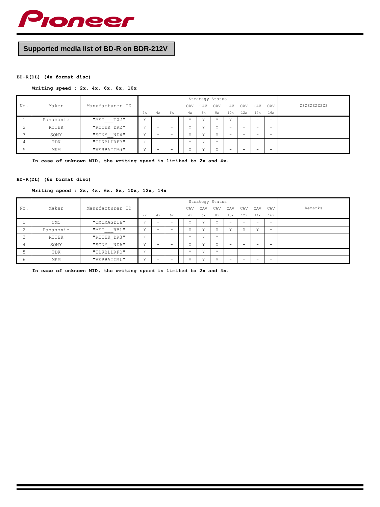

# **Supported media list of BD-R on BDR-212V**

## **BD-R(DL) (4x format disc)**

## **Writing speed : 2x, 4x, 6x, 8x, 10x**

|     |           |                 |                |                          |                          |     |              | Strategy Status |     |     |     |                          |            |
|-----|-----------|-----------------|----------------|--------------------------|--------------------------|-----|--------------|-----------------|-----|-----|-----|--------------------------|------------|
| No. | Maker     | Manufacturer ID |                |                          |                          | CAV | CAV          | CAV             | CAV | CAV | CAV | CAV                      | 2222222222 |
|     |           |                 | 2x             | 4x                       | 6x                       | 4x  | 6x           | 8x              | 10x | 12x | 14x | 16x                      |            |
|     | Panasonic | TO2"<br>"MEI    | v              | $\sim$                   | $\overline{\phantom{a}}$ | 37  | $\mathbf{v}$ | 3.7             | 3.5 | -   | -   | $\overline{\phantom{0}}$ |            |
|     | RITEK     | "RITEK DR2"     | $\overline{v}$ | $\overline{\phantom{0}}$ | -                        | 37  | 37           | 37              | -   | -   | -   | $\overline{\phantom{0}}$ |            |
|     | SONY      | "SONY ND4"      | v              | $\overline{\phantom{0}}$ | $\overline{\phantom{0}}$ | 37  | 37           | $\cdot$ .       | -   |     | -   | $\overline{\phantom{0}}$ |            |
|     | TDK       | "TDKBLDRFB"     | v<br>÷         | $\overline{\phantom{0}}$ | $-$                      | 37  | 37           | 37              | -   | -   | -   | $\overline{\phantom{0}}$ |            |
|     | MKM       | "VERBATIMd"     | v              | $\overline{\phantom{0}}$ | $-$                      | 37  | 37           | $\cdot$ .       | -   |     | -   | $\overline{\phantom{0}}$ |            |

**In case of unknown MID, the writing speed is limited to 2x and 4x.**

## **BD-R(DL) (6x format disc)**

#### **Writing speed : 2x, 4x, 6x, 8x, 10x, 12x, 14x**

|                |            |                     |              |                          |                          |              | Strategy Status |     |     |     |     |                          |         |
|----------------|------------|---------------------|--------------|--------------------------|--------------------------|--------------|-----------------|-----|-----|-----|-----|--------------------------|---------|
| No.            | Maker      | Manufacturer ID     |              |                          |                          | CAV          | CAV             | CAV | CAV | CAV | CAV | CAV                      | Remarks |
|                |            |                     | 2x           | 4x                       | 6x                       | 4x           | 6х              | 8x  | 10x | 12x | 14x | 16x                      |         |
|                | <b>CMC</b> | "CMCMAGDI6"         | $\mathbf{v}$ | $\overline{\phantom{0}}$ | $\overline{\phantom{0}}$ | $\mathbf{v}$ | $\mathbf{v}$    | 37  | -   | -   | -   | $\overline{\phantom{0}}$ |         |
| $\overline{c}$ | Panasonic  | <b>RB1"</b><br>"MEI | $\mathbf{v}$ | -                        | $\overline{\phantom{0}}$ | 37           | 37              | 37  | 37  | 37  | 37  | $\sim$                   |         |
| 3              | RITEK      | "RITEK DR3"         | 37           | -                        | -                        | 37           | 37              | 37  | -   | -   | -   | -                        |         |
| 4              | SONY       | "SONY ND6"          | $\mathbf{r}$ | -                        | -                        | $\mathbf{r}$ | 37              | 37  | -   | -   | -   | -                        |         |
| 5              | TDK        | "TDKBLDRFD"         | v            | -                        | $\overline{\phantom{0}}$ | 37           | 37              | 37  | -   | -   | -   | $\overline{\phantom{0}}$ |         |
| 6              | MKM        | "VERBATIMf"         | $\mathbf{v}$ | $\overline{\phantom{0}}$ | $\overline{\phantom{0}}$ | 37           | 37              | 37  | -   | -   | -   | -                        |         |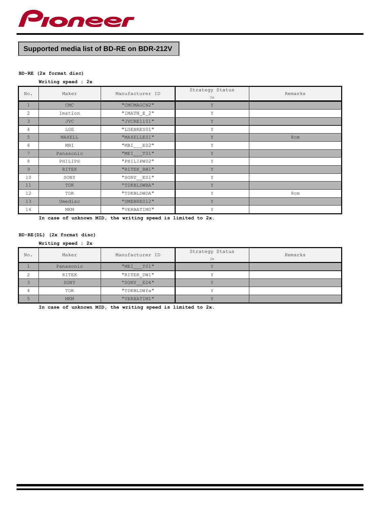

# **Supported media list of BD-RE on BDR-212V**

# **BD-RE (2x format disc)**

# **Writing speed : 2x**

| No.            | Maker      | Manufacturer ID | Strategy Status<br>2x | Remarks |
|----------------|------------|-----------------|-----------------------|---------|
| $\mathbf{1}$   | <b>CMC</b> | "CMCMAGCN2"     | Y                     |         |
| 2              | Imation    | $"IMATN_E_2"$   | Υ                     |         |
| 3              | <b>JVC</b> | "JVCRE1101"     | Y                     |         |
| 4              | LGE        | "LGEBRES01"     | Y                     |         |
| 5              | MAXELL     | "MAXELLES1"     | Y                     | 8cm     |
| 6              | MBI        | "MBI E02"       | Y                     |         |
| $\overline{7}$ | Panasonic  | "MEI TO1"       | Y                     |         |
| 8              | PHILIPS    | "PHILIPW02"     | Y                     |         |
| 9              | RITEK      | "RITEK BW1"     | Y                     |         |
| 10             | SONY       | "SONY__ES1"     | Y                     |         |
| 11             | TDK        | "TDKBLDWBA"     | Y                     |         |
| 12             | TDK        | "TDKBLDWDA"     | Y                     | 8cm     |
| 13             | Umedisc    | "UMEBRE012"     | Y                     |         |
| 14             | MKM        | "VERBATIMO"     | Y                     |         |

**In case of unknown MID, the writing speed is limited to 2x.**

#### **BD-RE(DL) (2x format disc)**

#### **Writing speed : 2x**

| No. | Maker      | Manufacturer ID | Strategy Status<br>2x | Remarks |
|-----|------------|-----------------|-----------------------|---------|
|     | Panasonic  | T01"<br>"MEI    |                       |         |
|     | RITEK      | "RITEK DW1"     |                       |         |
|     | SONY       | "SONY ED4"      |                       |         |
| 4   | TDK        | "TDKBLDWfa"     |                       |         |
|     | <b>MKM</b> | "VERBATIM1"     |                       |         |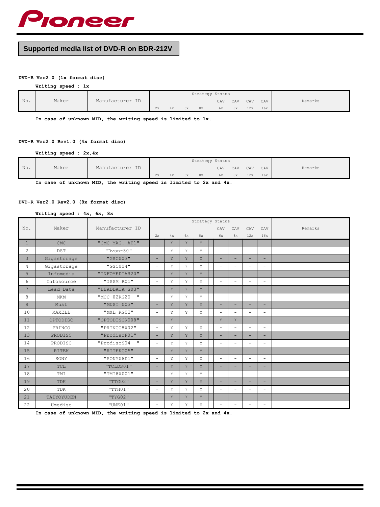

# **Supported media list of DVD-R on BDR-212V**

#### **DVD-R Ver2.0 (1x format disc)**

**Writing speed : 1x**

|     |       |                 |    |    |    |    | Strategy Status |     |     |     |         |
|-----|-------|-----------------|----|----|----|----|-----------------|-----|-----|-----|---------|
| No. | Maker | Manufacturer ID |    |    |    |    | CAV             | CAV | CAV | CAV | Remarks |
|     |       |                 | 2х | 4х | 6х | 8x | 6x              | 8х  | 12x | 16x |         |

**In case of unknown MID, the writing speed is limited to 1x.**

## **DVD-R Ver2.0 Rev1.0 (4x format disc)**

**Writing speed : 2x,4x**

|     |       |                 |    |    |    |    | Strategy Status |     |     |     |         |
|-----|-------|-----------------|----|----|----|----|-----------------|-----|-----|-----|---------|
| No. | Maker | Manufacturer ID |    |    |    |    | CAV             | CAV | CAV | CAV | Remarks |
|     |       |                 | 2х | 4x | 6x | 8х | 6x              | 8x  | 12x | 16x |         |

**In case of unknown MID, the writing speed is limited to 2x and 4x.**

#### **DVD-R Ver2.0 Rev2.0 (8x format disc)**

#### **Writing speed : 4x, 6x, 8x**

|                 |              |                 |          |    |    | Strategy Status |                          |                          |                          |                          |         |
|-----------------|--------------|-----------------|----------|----|----|-----------------|--------------------------|--------------------------|--------------------------|--------------------------|---------|
| No.             | Maker        | Manufacturer ID |          |    |    |                 | CAV                      | CAV                      | CAV                      | CAV                      | Remarks |
|                 |              |                 | 2x       | 4x | 6x | 8x              | 6x                       | 8x                       | 12x                      | 16x                      |         |
| $\mathbf{1}$    | <b>CMC</b>   | "CMC MAG. AE1"  | Ξ.       | Y  | Y  | Y               | $\overline{\phantom{a}}$ | -                        | $\equiv$                 | $\overline{\phantom{a}}$ |         |
| 2               | <b>DST</b>   | $"Dvsn-80"$     | ٠.       | Y  | Y  | Υ               | $\overline{\phantom{0}}$ | $\sim$                   | $\overline{\phantom{0}}$ | $\qquad \qquad -$        |         |
| 3               | Gigastorage  | "GSC003"        | -        | Y  | Y  | Y               | ÷                        |                          | $\equiv$                 | -                        |         |
| $\overline{4}$  | Gigastorage  | "GSC004"        | $\equiv$ | Y  | Y  | Y               | $\sim$                   |                          | $\equiv$                 | $\equiv$                 |         |
| 5               | Infomedia    | "INFOMEDIAR20"  | -        | Y  | Y  | Y               |                          |                          | $=$                      | -                        |         |
| 6               | Infosource   | "ISSM R01"      | $\equiv$ | Y  | Y  | Y               | $\overline{\phantom{a}}$ |                          | $\equiv$                 | -                        |         |
| $7\overline{ }$ | Lead Data    | "LEADDATA S03"  | $=$      | Y  | Y  | Y               |                          |                          | -                        | -                        |         |
| 8               | MKM          | "MCC 02RG20 "   | $\equiv$ | Y  | Y  | Y               | $\overline{\phantom{a}}$ | $\sim$                   | $\equiv$                 | $\overline{\phantom{a}}$ |         |
| $\overline{9}$  | Must         | "MUST 003"      | -        | Y  | Y  | Y               |                          |                          | -                        |                          |         |
| 10              | MAXELL       | "MXL RG03"      | $\equiv$ | Y  | Y  | Y               | $\overline{\phantom{a}}$ | $\overline{\phantom{a}}$ | $\equiv$                 | $\overline{\phantom{0}}$ |         |
| 11              | OPTODISC     | "OPTODISCR008"  | Ξ.       | Y  |    | $\equiv$        | Y                        | Y                        | $\equiv$                 | -                        |         |
| 12              | PRINCO       | "PRINCO8X02"    | $\equiv$ | Y  | Y  | Υ               |                          |                          | $\equiv$                 | $\equiv$                 |         |
| 13              | PRODISC      | "ProdiscF01"    | Ξ.       | Y  | Y  | Y               | $\overline{\phantom{a}}$ |                          | $\equiv$                 | -                        |         |
| 14              | PRODISC      | "ProdiscS04 "   | $\equiv$ | Y  | Y  | Υ               | $\overline{\phantom{a}}$ |                          | $\equiv$                 | $\equiv$                 |         |
| 15              | <b>RITEK</b> | "RITEKG05"      | ÷        | Y  | Y  | Y               |                          |                          | -                        | -                        |         |
| 16              | SONY         | "SONY08D1"      | $\equiv$ | Y  | Y  | Y               | $\overline{\phantom{a}}$ |                          | $\equiv$                 | -                        |         |
| 17              | TCL          | "TCLDS01"       | $=$      | Y  | Y  | Y               |                          |                          | -                        | -                        |         |
| 18              | TMI          | "TMI8X001"      | ٠.       | Y  | Y  | Y               | $\qquad \qquad =$        | $\overline{\phantom{m}}$ | $\equiv$                 | -                        |         |
| 19              | TDK          | "TTG02"         | -        | Y  | Y  | Y               |                          |                          | -                        | -                        |         |
| 20              | TDK          | "TTH01"         | $\equiv$ | Y  | Y  | Y               | $\qquad \qquad =$        | $\sim$                   | $\equiv$                 | -                        |         |
| 21              | TAIYOYUDEN   | "TYG02"         | $=$      | Y  | Y  | Y               |                          |                          | $=$                      | -                        |         |
| 22              | Umedisc      | "UME01"         | ÷        | Y  | Y  | Υ               |                          |                          | $\equiv$                 | -                        |         |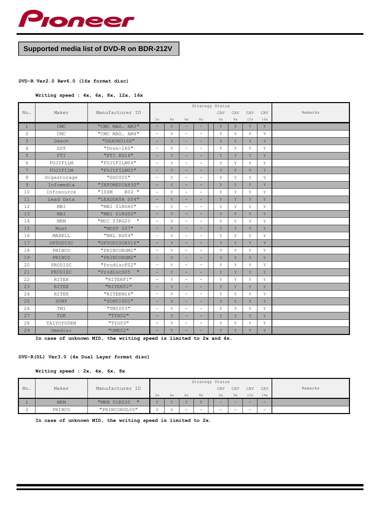

# **Supported media list of DVD-R on BDR-212V**

## **DVD-R Ver2.0 Rev6.0 (16x format disc)**

**Writing speed : 4x, 6x, 8x, 12x, 16x**

|                 |                    |                 |                              |    |                          | Strategy Status          |     |     |             |     |         |
|-----------------|--------------------|-----------------|------------------------------|----|--------------------------|--------------------------|-----|-----|-------------|-----|---------|
| No.             | Maker              | Manufacturer ID |                              |    |                          |                          | CAV | CAV | CAV         | CAV | Remarks |
|                 |                    |                 | 2x                           | 4x | 6x                       | 8x                       | 6x  | 8x  | 12x         | 16x |         |
| $\mathbf{1}$    | <b>CMC</b>         | "CMC MAG. AM3"  | $\equiv$                     | Y  | $\overline{\phantom{a}}$ | $\equiv$                 | Y   | Y   | $\mathbf Y$ | Y   |         |
| 2               | $\mathop{\rm CMC}$ | "CMC MAG. AM4"  | $\overline{a}$               | Y  | $\sim$                   | $\equiv$                 | Y   | Y   | Y           | Y   |         |
| 3               | Daxon              | "DAXON016S"     | $\equiv$                     | Y  | -                        | -                        | Y   | Y   | $\mathbf Y$ | Y   |         |
| 4               | <b>DST</b>         | $"Dvsn-160"$    | $\equiv$                     | Y  | $\frac{1}{2}$            | $\equiv$                 | Y   | Y   | Υ           | Y   |         |
| 5               | FTI                | "FTI RG16"      |                              | Y  |                          |                          | Y   | Y   | Y           | Y   |         |
| 6               | FUJIFILM           | "FUJIFILM04"    | $\qquad \qquad \blacksquare$ | Y  | $\overline{\phantom{a}}$ | $\overline{\phantom{a}}$ | Y   | Y   | Y           | Y   |         |
| $7\overline{ }$ | FUJIFILM           | "FUJIFILM05"    |                              | Y  |                          | $=$                      | Y   | Y   | Y           | Y   |         |
| 8               | Gigastorage        | "GSC005"        | $\equiv$                     | Y  | $\sim$                   | $\equiv$                 | Y   | Y   | Y           | Y   |         |
| 9               | Infomedia          | "INFOMEDIAR30"  | $\equiv$                     | Y  | -                        | $\equiv$                 | Y   | Y   | Y           | Y   |         |
| 10              | Infosource         | R02 "<br>"ISSM  | $\sim$                       | Υ  | $\overline{\phantom{a}}$ | $\sim$                   | Y   | Y   | Y           | Y   |         |
| 11              | Lead Data          | "LEADDATA S04"  |                              | Y  |                          |                          | Y   | Y   | Y           | Y   |         |
| 12              | MBI                | "MBI 01RG40"    | $\overline{a}$               | Υ  | $\overline{\phantom{a}}$ | $\equiv$                 | Y   | Y   | Υ           | Y   |         |
| 13              | <b>MBI</b>         | "MBI 01RG50"    |                              | Y  |                          | $=$                      | Y   | Y   | Y           | Y   |         |
| 14              | MKM                | "MCC 03RG20 "   | $\overline{\phantom{a}}$     | Y  |                          | ÷                        | Y   | Y   | Y           | Y   |         |
| 15              | Must               | "MUST 007"      | $\equiv$                     | Y  | -                        | -                        | Y   | Y   | Y           | Y   |         |
| 16              | MAXELL             | "MXL RG04"      | $\equiv$                     | Y  | $\overline{\phantom{a}}$ | $\sim$                   | Y   | Y   | Y           | Y   |         |
| 17              | OPTODISC           | "OPTODISCR016"  |                              | Y  |                          |                          | Y   | Y   | Y           | Y   |         |
| 18              | PRINCO             | "PRINCORGM1"    | $\overline{a}$               | Y  | $\sim$                   | $\equiv$                 | Y   | Y   | Y           | Y   |         |
| 19              | PRINCO             | "PRINCORGM2"    | $\equiv$                     | Y  | $\overline{\phantom{a}}$ | $=$                      | Y   | Y   | Y           | Y   |         |
| 20              | PRODISC            | "ProdiscF02"    | $\overline{\phantom{a}}$     | Y  | $\sim$                   | $\overline{\phantom{a}}$ | Y   | Y   | Y           | Y   |         |
| 21              | PRODISC            | "ProdiscS05 "   | $\equiv$                     | Y  | ۰,                       | ÷                        | Y   | Y   | Y           | Y   |         |
| 22              | <b>RITEK</b>       | "RITEKF1"       | $\sim$                       | Y  | $\sim$                   | ÷.                       | Y   | Y   | Y           | Y   |         |
| 23              | <b>RITEK</b>       | "RITEKF2"       |                              | Y  |                          |                          | Y   | Y   | Y           | Y   |         |
| 24              | <b>RITEK</b>       | "RITEKM16"      | $\equiv$                     | Y  | $\overline{\phantom{a}}$ | $\sim$                   | Y   | Y   | Y           | Y   |         |
| 25              | SONY               | "SONY16D1"      | -                            | Y  |                          |                          | Y   | Y   | Y           | Y   |         |
| 26              | TMI                | "TMI003"        | $\equiv$                     | Y  | $\overline{\phantom{a}}$ | $\equiv$                 | Y   | Y   | Y           | Y   |         |
| 27              | <b>TDK</b>         | "TH02"          | $\overline{\phantom{a}}$     | Y  | -                        | ÷                        | Y   | Y   | Y           | Y   |         |
| 28              | TAIYOYUDEN         | "TYG03"         | $\equiv$                     | Y  |                          | $\equiv$                 | Y   | Υ   | Υ           | Y   |         |
| 29              | Umedisc            | $"$ UME $02"$   |                              | Y  |                          |                          | Y   | Y   | Y           | Y   |         |

**In case of unknown MID, the writing speed is limited to 2x and 4x.**

## **DVD-R(DL) Ver3.0 (4x Dual Layer format disc)**

**Writing speed : 2x, 4x, 6x, 8x**

|     |            |                             |    |     |              |    | Strategy Status |                          |        |                          |         |
|-----|------------|-----------------------------|----|-----|--------------|----|-----------------|--------------------------|--------|--------------------------|---------|
| No. | Maker      | Manufacturer ID             |    |     |              |    | CAV             | CAV                      | CAV    | CAV                      | Remarks |
|     |            |                             | 2x | 4x  | 6x           | 8x | 6x              | 8x                       | 12x    | 16x                      |         |
|     | <b>MKM</b> | "MKM 01RD30<br>$\mathbf{H}$ | 37 | 7.7 | $\mathbf{v}$ | 37 | -               | -                        | $\sim$ | -                        |         |
|     | PRINCO     | "PRINCORDL05"               | 37 | 37  | -            | -  | -               | $\overline{\phantom{0}}$ | $-$    | $\overline{\phantom{0}}$ |         |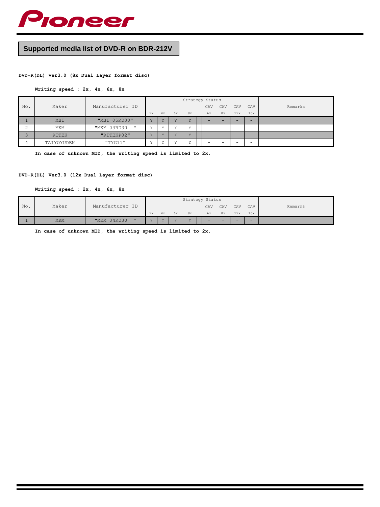

# **Supported media list of DVD-R on BDR-212V**

# **DVD-R(DL) Ver3.0 (8x Dual Layer format disc)**

#### **Writing speed : 2x, 4x, 6x, 8x**

|                |              |                                  |                 |                |     | Strategy Status |     |                          |     |        |         |
|----------------|--------------|----------------------------------|-----------------|----------------|-----|-----------------|-----|--------------------------|-----|--------|---------|
| No.            | Maker        | Manufacturer ID                  |                 |                |     |                 | CAV | CAV                      | CAV | CAV    | Remarks |
|                |              |                                  | 2x              | 4x             | 6x  | 8x              | 6x  | 8x                       | 12x | 16x    |         |
|                | <b>MBI</b>   | "MBI 05RD30"                     | <b>TF</b>       | $\overline{v}$ | 7.7 | $\overline{v}$  | -   | -                        |     | $\sim$ |         |
| $\hat{ }$<br>∠ | MKM          | "MKM 03RD30<br>$^{\prime\prime}$ | $\cdot$ $\cdot$ | v              | 37  | v               | -   | $\overline{\phantom{0}}$ | -   |        |         |
| $\sim$         | <b>RITEK</b> | "RITEKP02"                       | <b>TF</b>       | 37             | 7.7 | $\overline{v}$  | -   | -                        |     | -      |         |
| $\overline{4}$ | TAIYOYUDEN   | "TYG11"                          | $\cdot$ $\cdot$ | 37             | 37  | -37             | -   | -                        |     |        |         |

**In case of unknown MID, the writing speed is limited to 2x.**

# **DVD-R(DL) Ver3.0 (12x Dual Layer format disc)**

**Writing speed : 2x, 4x, 6x, 8x**

|     |            |                                     |           |     |           | Strategy Status |        |        |        |     |         |
|-----|------------|-------------------------------------|-----------|-----|-----------|-----------------|--------|--------|--------|-----|---------|
| No. | Maker      | Manufacturer<br>ID                  |           |     |           |                 | CAV    | CAV    | CAV    | CAV | Remarks |
|     |            |                                     | 2x        | 4x  | 6x        | 8x              | 6x     | 8x     | 12x    | 16x |         |
|     | <b>MKM</b> | $^{\prime\prime}$<br>04RD30<br>"MKM | <b>AF</b> | 7.7 | <b>TF</b> | 37              | $\sim$ | $\sim$ | $\sim$ | -   |         |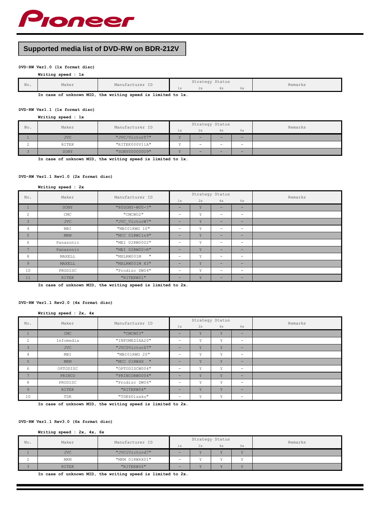

# **Supported media list of DVD-RW on BDR-212V**

# **DVD-RW Ver1.0 (1x format disc)**

|     | Writing speed : 1x |                 |      |                 |    |    |         |
|-----|--------------------|-----------------|------|-----------------|----|----|---------|
| No. | Maker              | Manufacturer ID |      | Strategy Status |    |    | Remarks |
|     |                    |                 | $+X$ | 2x              | 4x | 6x |         |

**In case of unknown MID, the writing speed is limited to 1x.**

#### **DVD-RW Ver1.1 (1x format disc) Writing speed : 1x**

| No. | Maker      | Manufacturer ID |    | Strategy Status          |          |                          | Remarks |
|-----|------------|-----------------|----|--------------------------|----------|--------------------------|---------|
|     |            |                 | 1x | 2x                       | 4x       | 6x                       |         |
|     | <b>JVC</b> | "JVC/VictorT7"  |    | $-$                      | -        | -                        |         |
|     | RITEK      | "RITEK000V11A"  |    | $\overline{\phantom{0}}$ | $\equiv$ | $\overline{\phantom{0}}$ |         |
|     | SONY       | "SONY000000U9"  |    | $-$                      | $=$      | ÷                        |         |

**In case of unknown MID, the writing speed is limited to 1x.**

#### **DVD-RW Ver1.1 Rev1.0 (2x format disc)**

#### **Writing speed : 2x**

| No.            | Maker<br>Manufacturer ID |                            |     | Strategy Status |                          |                          | Remarks |
|----------------|--------------------------|----------------------------|-----|-----------------|--------------------------|--------------------------|---------|
|                |                          |                            | 1x  | 2x              | 4x                       | 6x                       |         |
|                | SONY                     | "80SONY-W00-?"             | -   | Y               | $\overline{\phantom{a}}$ | $\overline{\phantom{a}}$ |         |
| 2              | CMC                      | "CMCW02"                   | -   | Y               | $\overline{\phantom{0}}$ | $\overline{\phantom{0}}$ |         |
| 3              | <b>JVC</b>               | "JVC VictorW7"             | $-$ | Y               | $\overline{\phantom{a}}$ | ÷                        |         |
| 4              | MBI                      | "MBIO1RWG 10"              |     | Υ               | $\overline{\phantom{0}}$ | $\overline{\phantom{0}}$ |         |
| 5              | <b>MKM</b>               | "MCC 01RW11n9"             | -   | Y               | $\overline{\phantom{0}}$ | ÷                        |         |
| 6              | Panasonic                | "MEI 02RW0002"             |     | Υ               |                          | $\overline{\phantom{0}}$ |         |
| $\overline{ }$ | Panasonic                | "MEI 02RW00>R"             | $-$ | Y               | $\overline{\phantom{a}}$ | ÷                        |         |
| 8              | MAXELL                   | $\mathbf{u}$<br>"MXLRW001M | -   | Υ               | $\overline{\phantom{0}}$ | $\equiv$                 |         |
| $\overline{9}$ | MAXELL                   | "MXLRW001M X3"             | -   | Y               | $\sim$                   | ÷                        |         |
| 10             | PRODISC                  | "Prodisc DW04"             | -   | Υ               | $\overline{\phantom{0}}$ | $-$                      |         |
| 11             | RITEK                    | "RITEKW01"                 | -   | Y               |                          | -                        |         |

**In case of unknown MID, the writing speed is limited to 2x.**

#### **DVD-RW Ver1.1 Rev2.0 (4x format disc)**

#### **Writing speed : 2x, 4x**

| Maker<br>No.   |              | Manufacturer ID |    |              | Strategy Status         |                              | Remarks |
|----------------|--------------|-----------------|----|--------------|-------------------------|------------------------------|---------|
|                |              |                 | 1x | 2x           | 4x                      | 6x                           |         |
|                | <b>CMC</b>   | "CMCW03"        | -  | v            | $\mathbf{v}$            | $\sim$                       |         |
| 2              | Infomedia    | "INFOMEDIAA20"  |    | Υ            | v                       | $\qquad \qquad \blacksquare$ |         |
| 3              | <b>JVC</b>   | "JVC0VictorD7"  |    | Y            | V                       | $\equiv$                     |         |
| 4              | MBI          | "MBIO1RWG 20"   | -  | Υ            | Y                       | $\qquad \qquad -$            |         |
| 5              | MKM          | "MCC 01RW4X "   |    | Y            | Y                       | $-$                          |         |
| 6              | OPTODISC     | "OPTODISCW004"  |    | Y            | v                       | $\qquad \qquad -$            |         |
| $\overline{ }$ | PRINCO       | "PRINCORW0004"  | -  | v            | $\overline{\mathbf{v}}$ | $\equiv$                     |         |
| 8              | PRODISC      | "Prodisc DW06"  | -  | v            | Y                       | $\overline{\phantom{0}}$     |         |
| 9              | <b>RITEK</b> | "RITEKW04"      |    | Y            | v                       | $\equiv$                     |         |
| 10             | TDK          | "TDK601saku"    |    | $\mathbf{v}$ | Y                       | $\qquad \qquad -$            |         |

**In case of unknown MID, the writing speed is limited to 2x.**

## **DVD-RW Ver1.1 Rev3.0 (6x format disc)**

#### **Writing speed : 2x, 4x, 6x**

| No. | Maker        | Manufacturer ID |                          | Strategy Status |         |                | Remarks |
|-----|--------------|-----------------|--------------------------|-----------------|---------|----------------|---------|
|     |              |                 | 1x                       | 2x              | 4x      | 6x             |         |
|     | <b>JVC</b>   | "JVC1Victord7"  |                          |                 | $\cdot$ | $\overline{ }$ |         |
|     | MKM          | "MKM 01RW6X01"  | $\overline{\phantom{0}}$ |                 | 3.5     |                |         |
|     | <b>RITEK</b> | "RITEKW06"      | -                        |                 | $\cdot$ | ٠.             |         |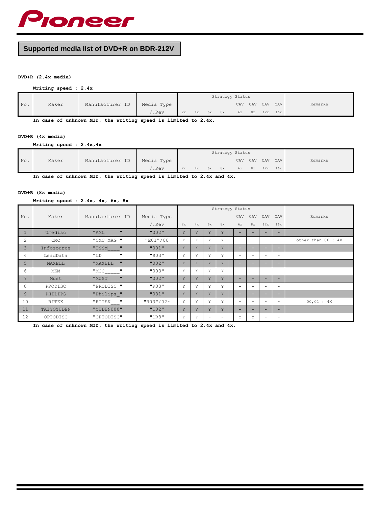

# **Supported media list of DVD+R on BDR-212V**

# **DVD+R (2.4x media)**

## **Writing speed : 2.4x**

|     |       |                 |            |    |    |    |    | Strategy Status |     |     |     |         |
|-----|-------|-----------------|------------|----|----|----|----|-----------------|-----|-----|-----|---------|
| No. | Maker | Manufacturer ID | Media Type |    |    |    |    | CAV             | CAV | CAV | CAV | Remarks |
|     |       |                 | .Rev       | 2x | 4x | 6x | 8x | 6x              | 8x  | 12x | 16x |         |

**In case of unknown MID, the writing speed is limited to 2.4x.**

# **DVD+R (4x media)**

**Writing speed : 2.4x,4x**

|     |       |                 |            |    |    |    |    | Strategy Status |     |     |     |         |
|-----|-------|-----------------|------------|----|----|----|----|-----------------|-----|-----|-----|---------|
| No. | Maker | Manufacturer ID | Media Type |    |    |    |    | CAV             | CAV | CAV | CAV | Remarks |
|     |       |                 | .Rev       | 2x | 4x | 6x | 8x | 6х              | 8x  | 12x | 16x |         |

**In case of unknown MID, the writing speed is limited to 2.4x and 4x.**

#### **DVD+R (8x media)**

**Writing speed : 2.4x, 4x, 6x, 8x**

|                |            |                              |             |    |    |                          | Strategy Status          |                          |                          |                          |                          |                    |
|----------------|------------|------------------------------|-------------|----|----|--------------------------|--------------------------|--------------------------|--------------------------|--------------------------|--------------------------|--------------------|
| No.            | Maker      | Manufacturer ID              | Media Type  |    |    |                          |                          | CAV                      | CAV                      | CAV                      | CAV                      | Remarks            |
|                |            |                              | /.Rev       | 2x | 4x | 6x                       | 8x                       | 6x                       | 8x                       | 12x                      | 16x                      |                    |
| $\mathbf{1}$   | Umedisc    | $\mathbf{H}$<br>"AML         | "002"       | Y  | Y  | Y                        | Y                        |                          |                          |                          | -                        |                    |
| $\overline{c}$ | <b>CMC</b> | "CMC MAG "                   | "E01"/00    | Υ  | Y  | Y                        | Υ                        | $\overline{\phantom{0}}$ | $\overline{\phantom{0}}$ | -                        | $\overline{\phantom{0}}$ | other than 00 : 4X |
| 3              | Infosource | $\mathbf{H}$<br>"ISSM        | "001"       | Y  | Y  | Y                        | Y                        | ÷                        | $\equiv$                 | -                        | $-$                      |                    |
| 4              | LeadData   | $\mathbf{H}$<br>"LD          | "S03"       | Υ  | Y  | Y                        | Υ                        | $\overline{\phantom{0}}$ | $\overline{\phantom{0}}$ | $\overline{\phantom{0}}$ | $\overline{\phantom{0}}$ |                    |
| 5              | MAXELL     | $^{\prime\prime}$<br>"MAXELL | "002"       | Y  | Y  | Y                        | Y                        | $=$                      | -                        | -                        | -                        |                    |
| 6              | MKM        | $\mathbf{H}$<br>"MCC         | "003"       | Υ  | Y  | Y                        | Υ                        | $\overline{\phantom{0}}$ | $\overline{\phantom{0}}$ | -                        | $\overline{\phantom{0}}$ |                    |
| 7              | Must       | $\mathbf{H}$<br>"MUST        | "002"       | Y  | Y  | Y                        | Y                        | ÷                        | -                        | -                        | -                        |                    |
| 8              | PRODISC    | "PRODISC "                   | "R03"       | Υ  | Y  | Y                        | Υ                        | $\overline{\phantom{0}}$ | $\overline{\phantom{0}}$ | $\overline{\phantom{0}}$ | $\overline{\phantom{0}}$ |                    |
| 9              | PHILIPS    | "Philips "                   | "081"       | Y  | Y  | Y                        | Y                        | ÷                        | $\equiv$                 | -                        | ÷                        |                    |
| 10             | RITEK      | $\mathbf{u}$<br>"RITEK       | "R03" / 02" | Υ  | Y  | Y                        | Υ                        | $\overline{\phantom{0}}$ | $\overline{\phantom{0}}$ | $\overline{\phantom{0}}$ | $\equiv$                 | 00,01 : 4X         |
| 11             | TAIYOYUDEN | "YUDEN000"                   | "T02"       | Y  | Y  | Y                        | Y                        | ÷                        | $\equiv$                 | -                        | ÷                        |                    |
| 12             | OPTODISC   | "OPTODISC"                   | "OR8"       | Υ  | Y  | $\overline{\phantom{0}}$ | $\overline{\phantom{0}}$ | Υ                        | Υ                        | $\overline{\phantom{0}}$ | $\overline{\phantom{a}}$ |                    |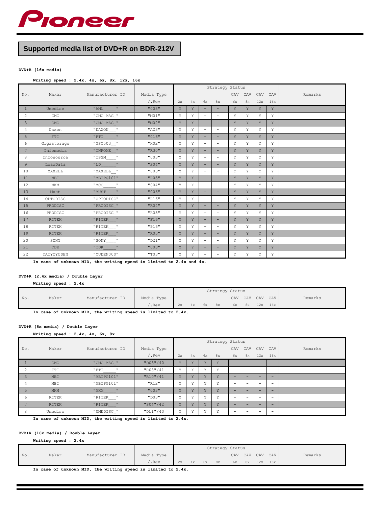

# **Supported media list of DVD+R on BDR-212V**

## **DVD+R (16x media)**

#### **Writing speed : 2.4x, 4x, 6x, 8x, 12x, 16x**

|                |              |                        |            | Strategy Status |    |                          |                          |  |     |     |     |             |         |
|----------------|--------------|------------------------|------------|-----------------|----|--------------------------|--------------------------|--|-----|-----|-----|-------------|---------|
| No.            | Maker        | Manufacturer ID        | Media Type |                 |    |                          |                          |  | CAV | CAV | CAV | CAV         | Remarks |
|                |              |                        | /.Rev      | 2x              | 4x | 6x                       | 8x                       |  | 6x  | 8x  | 12x | 16x         |         |
| $\mathbf{1}$   | Umedisc      | $\mathbf{u}$<br>"AML   | "003"      | Y               | Y  | $\equiv$                 | $\overline{\phantom{a}}$ |  | Y   | Y   | Y   | Y           |         |
| $\overline{c}$ | CMC          | "CMC MAG "             | "M01"      | Υ               | Υ  | $\qquad \qquad =$        | $\qquad \qquad =$        |  | Υ   | Y   | Υ   | Y           |         |
| $\overline{3}$ | CMC          | "CMC MAG "             | "M02"      | Y               | Y  | د                        | ÷                        |  | Y   | Y   | Y   | Y           |         |
| 4              | Daxon        | $\mathbf{u}$<br>"DAXON | "AZ3"      | Υ               | Υ  | $\qquad \qquad =$        | $\qquad \qquad =$        |  | Y   | Y   | Υ   | Y           |         |
| 5              | FTI          | $\mathbf{u}$<br>"FTI   | "016"      | Y               | Y  | ٠                        | $\equiv$                 |  | Y   | Y   | Y   | Y           |         |
| 6              | Gigastorage  | "GSC503 "              | "H02"      | Y               | Υ  | $\equiv$                 | $\sim$                   |  | Y   | Y   | Υ   | Y           |         |
| 7              | Infomedia    | "INFOME "              | "R30"      | Y               | Y  | $\overline{\phantom{a}}$ | $\equiv$                 |  | Y   | Y   | Y   | Y           |         |
| 8              | Infosource   | "ISSM<br>$\mathbf{u}$  | "003"      | Y               | Y  | $\qquad \qquad =$        | $\qquad \qquad =$        |  | Υ   | Y   | Y   | Υ           |         |
| $\overline{9}$ | LeadData     | $\mathbf{u}$<br>"LD    | "S04"      | Y               | Y  | $\equiv$                 | -                        |  | Y   | Y   | Y   | Y           |         |
| 10             | MAXELL       | $"$ MAXELL $\_\,$ "    | "003"      | Υ               | Y  | $\qquad \qquad =$        | $\qquad \qquad =$        |  | Υ   | Y   | Υ   | Y           |         |
| 11             | MBI          | "MBIPG101"             | "R05"      | Y               | Y  | $\equiv$                 | $\overline{\phantom{0}}$ |  | Y   | Y   | Y   | Y           |         |
| 12             | MKM          | $\mathbf{u}$<br>"MCC   | "004"      | Y               | Y  | $\qquad \qquad =$        | $\qquad \qquad =$        |  | Υ   | Y   | Υ   | Y           |         |
| 13             | Must         | $\mathbf{u}$<br>"MUST  | "006"      | Y               | Y  |                          | -                        |  | Y   | Y   | Y   | Y           |         |
| 14             | OPTODISC     | "OPTODISC"             | "R16"      | Y               | Υ  | $\equiv$                 | $\equiv$                 |  | Υ   | Y   | Υ   | Y           |         |
| 15             | PRODISC      | "PRODISC "             | "R04"      | Y               | Y  | $\overline{\phantom{a}}$ | $\overline{\phantom{0}}$ |  | Y   | Y   | Y   | Y           |         |
| 16             | PRODISC      | "PRODISC_"             | "R05"      | Y               | Y  | $\equiv$                 | $\equiv$                 |  | Υ   | Y   | Y   | Y           |         |
| 17             | <b>RITEK</b> | $\mathbf{u}$<br>"RITEK | "F16"      | Y               | Y  | $\overline{\phantom{a}}$ | $\overline{\phantom{a}}$ |  | Y   | Y   | Y   | Y           |         |
| 18             | RITEK        | $\pmb{\pi}$<br>"RITEK  | "P16"      | Υ               | Υ  | $\qquad \qquad =$        | $\equiv$                 |  | Υ   | Y   | Υ   | Y           |         |
| 19             | <b>RITEK</b> | $\mathbf{u}$<br>"RITEK | "R05"      | Υ               | Y  | $\overline{\phantom{a}}$ | $\overline{\phantom{0}}$ |  | Υ   | Y   | Y   | $\mathbf Y$ |         |
| 20             | SONY         | "SONY                  | "D21"      | Υ               | Υ  | $\qquad \qquad =$        | $\qquad \qquad =$        |  | Υ   | Y   | Υ   | Y           |         |
| 21             | TDK          | $\mathbf{u}$<br>"TDK   | "003"      | Y               | Y  | $\equiv$                 | -                        |  | Y   | Y   | Y   | Y           |         |
| 22             | TAIYOYUDEN   | "YUDEN000"             | "T03"      | Y               | Y  | $\qquad \qquad =$        | $\qquad \qquad =$        |  | Υ   | Y   | Υ   | Y           |         |

**In case of unknown MID, the writing speed is limited to 2.4x and 4x.**

# **DVD+R (2.4x media) / Double Layer**

**Writing speed : 2.4x**

|     |       |                 |            |    |    |    |    | Strategy Status |     |     |     |         |
|-----|-------|-----------------|------------|----|----|----|----|-----------------|-----|-----|-----|---------|
| No. | Maker | Manufacturer ID | Media Type |    |    |    |    | CAV             | CAV | CAV | CAV | Remarks |
|     |       |                 | .Rev       | 2x | 4x | 6x | 8x | 6x              | 8x  | 12x | 16x |         |

**In case of unknown MID, the writing speed is limited to 2.4x.**

# **DVD+R (8x media) / Double Layer**

**Writing speed : 2.4x, 4x, 6x, 8x**

|                |              |                               |            |    |              |                | Strategy Status |                          |     |                          |                          |         |
|----------------|--------------|-------------------------------|------------|----|--------------|----------------|-----------------|--------------------------|-----|--------------------------|--------------------------|---------|
| No.            | Maker        | Manufacturer ID               | Media Type |    |              |                |                 | CAV                      | CAV | CAV                      | CAV                      | Remarks |
|                |              |                               | $/$ . Rev  | 2x | 4x           |                | 6x 8x           | 6x                       | 8x  | 12x                      | 16x                      |         |
|                | <b>CMC</b>   | "CMC MAG "                    | "D03" / 40 | Y  | $\mathbf{v}$ | v              | v               | ÷                        | -   | -                        | -                        |         |
| 2              | FTI          | $\mathbf{u}$<br>"FTI          | "R08"/41   | Υ  | v            | $\overline{v}$ | v               | $\overline{\phantom{0}}$ | -   | -                        | $\overline{\phantom{0}}$ |         |
| 3              | MBI          | "MBIPG101"                    | "R10"/41   | Y  | v            | Y              | Y               | $\equiv$                 | $=$ | $\overline{\phantom{a}}$ | $-$                      |         |
| 4              | MBI          | "MBIPG101"                    | "R12"      | Υ  | v            | $\overline{v}$ | $\mathbf{v}$    | $\qquad \qquad -$        | -   | $\overline{\phantom{0}}$ | $\overline{\phantom{0}}$ |         |
| 5              | <b>MKM</b>   | $\mathbf{u}$<br>"MKM          | "003"      | Y  | Y            | Y              | Y               | $-$                      | -   | $\overline{\phantom{0}}$ | $-$                      |         |
| 6              | RITEK        | $\mathbf{u}$<br>"RITEK<br>___ | "D03"      | Υ  | $\mathbf{v}$ | 37             | v               | $\overline{\phantom{0}}$ | -   | $\overline{\phantom{0}}$ | -                        |         |
| $\overline{ }$ | <b>RITEK</b> | $\mathbf{u}$<br>"RITEK        | "S04" / 42 | Y  | Y            | Y              | v               | $\overline{\phantom{0}}$ | ÷   | $\overline{\phantom{0}}$ | $-$                      |         |
| 8              | Umedisc      | "UMEDISC "                    | "DL1"/40   | v  | v            | $\mathbf{v}$   | v               | $\overline{\phantom{0}}$ | -   | $\overline{\phantom{0}}$ | -                        |         |

**In case of unknown MID, the writing speed is limited to 2.4x.**

# **DVD+R (16x media) / Double Layer**

| Writing speed : 2.4x |  |  |  |
|----------------------|--|--|--|
|----------------------|--|--|--|

|        |       |                 |            |    |    |    | Strategy Status |     |     |     |     |         |
|--------|-------|-----------------|------------|----|----|----|-----------------|-----|-----|-----|-----|---------|
| $No$ . | Maker | Manufacturer ID | Media Type |    |    |    |                 | CAV | CAV | CAV | CAV | Remarks |
|        |       |                 | . Rev      | 2x | 4x | 6x | 8x              | 6x  | 8x  | 12x | 16x |         |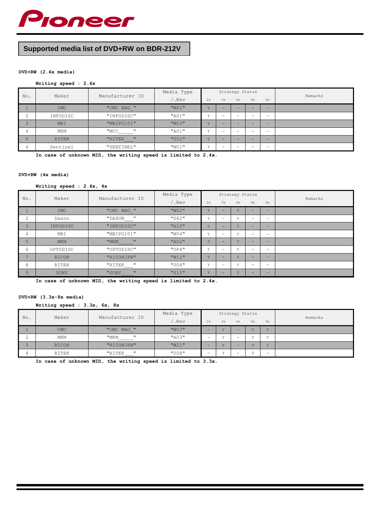

# **Supported media list of DVD+RW on BDR-212V**

#### **DVD+RW (2.4x media)**

# **Writing speed : 2.4x**

|                 |              | Maker<br>Manufacturer ID      |       |              |                          | Strategy Status |                          |    | Remarks |
|-----------------|--------------|-------------------------------|-------|--------------|--------------------------|-----------------|--------------------------|----|---------|
| No.             |              |                               | .Rev  | 2x           | 3x                       | 4x              | 6x                       | 8x |         |
|                 | <b>CMC</b>   | "CMC MAG "                    | "W01" | Y            | $-$                      |                 | -                        | -  |         |
| $\bigcirc$<br>∠ | INFODISC     | "INFODISC"                    | "A01" | v            | $\overline{\phantom{0}}$ |                 | $\overline{\phantom{0}}$ | -  |         |
| C.              | <b>MBI</b>   | "MBIPG101"                    | "W03" | Y            | -                        |                 | -                        | -  |         |
| 4               | MKM          | $\mathbf{H}$<br>"MCC          | "A01" | $\mathbf{v}$ | $\overline{\phantom{0}}$ |                 | $\overline{\phantom{0}}$ | -  |         |
| 5               | <b>RITEK</b> | $\mathbf{H}$<br>"RITEK<br>___ | "001" | Y            | $-$                      |                 | $\overline{\phantom{0}}$ | -  |         |
| 6               | Sentinel     | "SENTINEL"                    | "W01" | $\mathbf{v}$ | $\overline{\phantom{0}}$ |                 | $\overline{\phantom{0}}$ | -  |         |

**In case of unknown MID, the writing speed is limited to 2.4x.**

#### **DVD+RW (4x media)**

**Writing speed : 2.4x, 4x**

| No.            |            | Maker<br>Manufacturer ID |       |    |     | Strategy Status |                          |                          | Remarks |
|----------------|------------|--------------------------|-------|----|-----|-----------------|--------------------------|--------------------------|---------|
|                |            |                          | .Rev  | 2x | 3x  | 4x              | 6x                       | 8x                       |         |
|                | <b>CMC</b> | "CMC MAG_"               | "W02" | Y  |     | $\overline{v}$  |                          | $-$                      |         |
| 2              | Daxon      | $\mathbf{H}$<br>"DAXON   | "D42" | Υ  | -   | $\mathbf{v}$    | $\overline{\phantom{0}}$ | $\overline{\phantom{0}}$ |         |
| 3              | INFODISC   | "INFODISC"               | "A10" | Y  | -   | v               | $-$                      | $\equiv$                 |         |
| 4              | MBI        | "MBIPG101"               | "W04" | Υ  | -   | $\mathbf{v}$    | $\overline{\phantom{0}}$ | $\overline{\phantom{0}}$ |         |
| 5              | <b>MKM</b> | $\mathbf{H}$<br>"MKM     | "A02" | Y  | $-$ | Y               | $\equiv$                 | $\overline{\phantom{0}}$ |         |
| 6              | OPTODISC   | "OPTODISC"               | "OP4" | Υ  | -   | v               | -                        | $\overline{\phantom{0}}$ |         |
| $\overline{ }$ | RICOH      | "RICOHJPN"               | "W11" | Y  | -   | Y               | -                        | $\equiv$                 |         |
| 8              | RITEK      | $\mathbf{H}$<br>"RITEK   | "004" | Υ  | -   | $\vee$          | $\overline{\phantom{a}}$ | $\overline{\phantom{0}}$ |         |
| 9              | SONY       | $\mathbf{H}$<br>"SONY    | "S11" | Y  | -   | v               | $-$                      | $\overline{\phantom{0}}$ |         |

**In case of unknown MID, the writing speed is limited to 2.4x.**

## **DVD+RW (3.3x-8x media)**

**Writing speed : 3.3x, 6x, 8x**

|                    |            | Manufacturer ID<br>Maker |       |                          |                | Strategy Status          |                |                          |         |
|--------------------|------------|--------------------------|-------|--------------------------|----------------|--------------------------|----------------|--------------------------|---------|
| No.                |            |                          | .Rev  | 2x                       | 3x             | 4x                       | 6x             | 8x                       | Remarks |
|                    | <b>CMC</b> | "CMC MAG "               | "W03" | -                        | $\overline{v}$ | -                        | $\overline{v}$ | $\vee$                   |         |
| $\sim$<br><u>.</u> | MKM        | $\mathbf{H}$<br>"MKM     | "A03" | -                        | 3.2            | $\overline{\phantom{0}}$ | 37             | 37                       |         |
|                    | RICOH      | "RICOHJPN"               | "W21" | -                        | 7.7            | -                        | 37             | $\vee$                   |         |
| 4                  | RITEK      | $\mathbf{H}$<br>"RITEK   | "008" | $\overline{\phantom{0}}$ | 37             | -                        | $\mathbf{v}$   | $\overline{\phantom{0}}$ |         |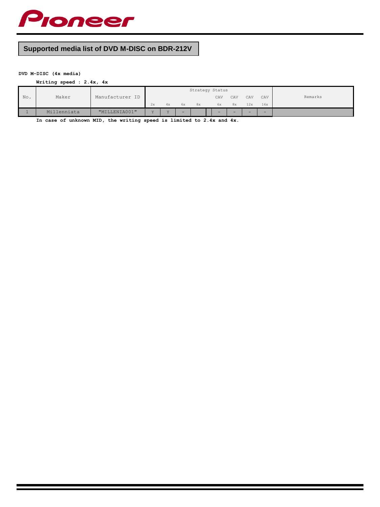

# **Supported media list of DVD M-DISC on BDR-212V**

# **DVD M-DISC (4x media)**

**Writing speed : 2.4x, 4x**

|     |                  |                 |     |                 |    | Strategy Status |     |     |        |     |         |
|-----|------------------|-----------------|-----|-----------------|----|-----------------|-----|-----|--------|-----|---------|
| No. | Maker            | Manufacturer ID |     |                 |    |                 | CAV | CAV | CAV    | CAV | Remarks |
|     |                  |                 | 2x  | 4x              | 6x | 8x              | 6x  | 8x  | 12x    | 16x |         |
|     | lenniata<br>Mi 1 | "MILLENTA001"   | 7.7 | $\overline{17}$ | -  |                 | -   | -   | $\sim$ | -   |         |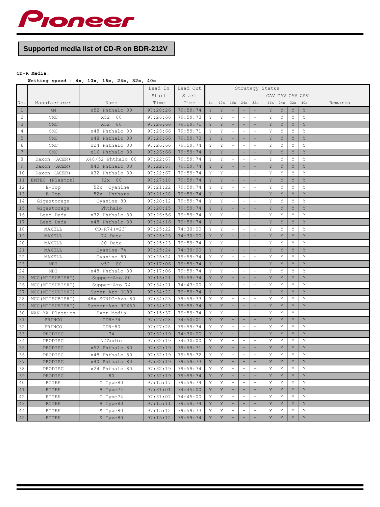

# **Supported media list of CD-R on BDR-212V**

# **CD-R Media:**

# **Writing speed : 4x, 10x, 16x, 24x, 32x, 40x**

|                     |                  |                   | Lead In  | Lead Out | Strategy Status |             |                          |                          |                          |     |             |                 |             |         |
|---------------------|------------------|-------------------|----------|----------|-----------------|-------------|--------------------------|--------------------------|--------------------------|-----|-------------|-----------------|-------------|---------|
|                     |                  |                   | Start    | Start    |                 |             |                          |                          |                          |     |             | CAV CAV CAV CAV |             |         |
| $\mathbb{N}\circ$ . | Manufacturer     | Name              | Time     | Time     | 4x              |             | 10x 16x 24x              |                          | 32x                      | 16x | 24x         | 32x             | 40x         | Remarks |
| $\mathbf{1}$        | 4M               | x52 Phthalo 80    | 97:28:26 | 79:59:74 | Y               | Y           | -                        | $\overline{\phantom{a}}$ | $\overline{\phantom{a}}$ | Y   | Y           | Y               | Y           |         |
| 2                   | CMC              | x52<br>80         | 97:26:66 | 79:59:73 | Υ               | Y           | ÷,                       | $\overline{\phantom{a}}$ | ÷,                       | Y   | Y           | Y               | Y           |         |
| $\mathcal{E}$       | <b>CMC</b>       | x52<br>80         | 97:26:66 | 79:59:71 | Y               | Y           | ÷                        | $\sim$                   | $\overline{\phantom{0}}$ | Υ   | Y           | $\mathbf Y$     | Y           |         |
| $\sqrt{4}$          | CMC              | x48 Phthalo 80    | 97:26:66 | 79:59:71 | Y               | Y           | $\overline{a}$           | $\equiv$                 | $\overline{a}$           | Y   | Y           | Υ               | Y           |         |
| $\overline{5}$      | <b>CMC</b>       | x48 Phthalo 80    | 97:26:66 | 79:59:73 | Υ               | $\mathbf Y$ | $\overline{\phantom{0}}$ | $\overline{\phantom{a}}$ |                          | Y   | $\mathbf Y$ | Y               | $\mathbf Y$ |         |
| $\epsilon$          | CMC              | x24 Phthalo 80    | 97:26:66 | 79:59:74 | Y               | Y           | ÷,                       | $\overline{\phantom{a}}$ | $\overline{\phantom{0}}$ | Υ   | Y           | Y               | Y           |         |
| $7\phantom{.0}$     | <b>CMC</b>       | x16 Phthalo 80    | 97:26:66 | 79:59:74 | Y               | $\mathbf Y$ | -                        | ۰                        |                          | Υ   | Y           | $\mathbf Y$     | Y           |         |
| 8                   | Daxon (ACER)     | X48/52 Phthalo 80 | 97:22:67 | 79:59:74 | Y               | Y           | $\overline{\phantom{a}}$ | $\overline{\phantom{a}}$ | $\overline{\phantom{a}}$ | Y   | Y           | Y               | Y           |         |
| 9                   | Daxon (ACER)     | X40 Phthalo 80    | 97:22:67 | 79:59:74 | Y               | $\mathbf Y$ | $\equiv$                 | $\equiv$                 | ۳                        | Y   | Y           | $\mathbf Y$     | Y           |         |
| 10                  | Daxon (ACER)     | X32 Phthalo 80    | 97:22:67 | 79:59:74 | Y               | Y           | $\overline{\phantom{a}}$ | $\overline{\phantom{a}}$ | $\overline{\phantom{a}}$ | Y   | Y           | Y               | Y           |         |
| 11                  | EMTEC (Plasmon)  | 52x 80            | 97:27:18 | 79:59:74 | Y               | Y           |                          |                          |                          | Y   | Y           | Y               | Y           |         |
| 12                  | $E-Top$          | 52x Cyanine       | 97:21:22 | 79:59:74 | Y               | Y           | ÷,                       | $\overline{\phantom{a}}$ | ÷                        | Y   | Y           | Y               | Y           |         |
| 13                  | $E-Top$          | 52x Phtharo       | 97:21:28 | 79:59:74 | Y               | $\mathbf Y$ | $\overline{\phantom{0}}$ | $\overline{\phantom{a}}$ |                          | Y   | $\mathbf Y$ | Y               | Y           |         |
| 14                  | Gigastorage      | Cyanine 80        | 97:28:12 | 79:59:74 | Y               | Y           | $\equiv$                 | $\equiv$                 | $\equiv$                 | Y   | Y           | Y               | Y           |         |
| 15                  | Gigastorage      | Phthalo           | 97:28:15 | 79:59:74 | Y               | Y           |                          | ۰                        |                          | Y   | Y           | Y               | Y           |         |
| 16                  | Lead Dada        | x32 Phthalo 80    | 97:26:56 | 79:59:74 | Υ               | Υ           | $\overline{\phantom{0}}$ | $\overline{\phantom{a}}$ | $\overline{\phantom{0}}$ | Υ   | Υ           | Y               | Y           |         |
| 17                  | Lead Dada        | x48 Phthalo 80    | 97:24:16 | 79:59:74 | $\mathbf Y$     | $\mathbf Y$ | -                        | $\overline{\phantom{a}}$ | ۰                        | Y   | Y           | $\mathbf Y$     | Y           |         |
| 18                  | MAXELL           | $CD-R74 (=23)$    | 97:25:22 | 74:30:00 | Y               | Υ           | $\sim$                   | $\equiv$                 | $\equiv$                 | Y   | Υ           | Υ               | Y           |         |
| 19                  | MAXELL           | 74 Data           | 97:25:23 | 74:30:00 | Y               | Y           | -                        | -                        | $\qquad \qquad -$        | Y   | Y           | Y               | Y           |         |
| 20                  | MAXELL           | 80 Data           | 97:25:23 | 79:59:74 | Υ               | Υ           | $\overline{\phantom{0}}$ | $\equiv$                 | Ĭ.                       | Υ   | Y           | Υ               | Y           |         |
| 21                  | MAXELL           | Cyanine 74        | 97:25:24 | 74:30:00 | Y               | Y           | $\equiv$                 | $\overline{\phantom{a}}$ | $\overline{\phantom{0}}$ | Y   | Y           | Y               | Y           |         |
| 22                  | MAXELL           | Cyanine 80        | 97:25:24 | 79:59:74 | Y               | Υ           | $\overline{a}$           | $\equiv$                 | $\overline{\phantom{a}}$ | Y   | Υ           | Υ               | Υ           |         |
| 23                  | <b>MBI</b>       | x52 80            | 97:17:06 | 79:59:74 | Y               | Y           | -                        | $\equiv$                 | L,                       | Y   | Y           | $\mathbf Y$     | Y           |         |
| 24                  | MBI              | x48 Phthalo 80    | 97:17:06 | 79:59:74 | Y               | Y           | ÷,                       | $\overline{\phantom{a}}$ | $\overline{\phantom{0}}$ | Y   | Y           | Y               | Y           |         |
| 25                  | MCC (MITSUBISHI) | Supper-Azo 80     | 97:15:21 | 79:59:74 | Y               | Y           | -                        | $\overline{\phantom{a}}$ | $\overline{a}$           | Y   | Y           | Y               | Y           |         |
| 26                  | MCC (MITSUBISHI) | Supper-Azo 74     | 97:34:21 | 74:43:00 | Y               | Υ           | $\overline{\phantom{a}}$ | $\overline{\phantom{a}}$ | $\overline{\phantom{a}}$ | Y   | Y           | Υ               | Y           |         |
| 27                  | MCC (MITSUBISHI) | Super-Azo HG80    | 97:34:22 | 79:59:74 | Y               | Y           | -                        | $\overline{\phantom{0}}$ | ۰                        | Y   | Y           | Y               | Y           |         |
| 28                  | MCC (MITSUBISHI) | 48x SONIC-Azo 80  | 97:34:23 | 79:59:73 | Y               | Y           | $\frac{1}{2}$            | $\equiv$                 | $\overline{a}$           | Y   | Y           | Y               | Y           |         |
| 29                  | MCC (MITSUBISHI) | Supper-Azo HGX80  | 97:34:23 | 79:59:74 | Y               | Y           |                          |                          |                          | Y   | Y           | Y               | Y           |         |
| 30                  | NAN-YA Plastics  | Ever Media        | 97:15:37 | 79:59:74 | Y               | Y           | $\overline{\phantom{a}}$ | $\equiv$                 | $\overline{a}$           | Y   | Y           | Y               | $\equiv$    |         |
| 31                  | PRINCO           | $CDR-74$          | 97:27:28 | 74:50:01 | Y               | Υ           | ۳                        | н                        |                          | Y   | $\mathbf Y$ | Υ               | $\mathbf Y$ |         |
| 32                  | PRINCO           | $CDR-80$          | 97:27:28 | 79:59:74 | Y               | Y           | $\qquad \qquad -$        | $\overline{\phantom{a}}$ | $\overline{\phantom{0}}$ | Υ   | Y           | Y               | Y           |         |
| 33                  | PRODISC          | 74                | 97:32:19 | 74:30:00 | Y               | Y           | -                        | -                        |                          | Υ   | Y           | Y               | Y           |         |
| 34                  | PRODISC          | 74Audio           | 97:32:19 | 74:30:00 | Y               | Y           | $\qquad \qquad -$        | $\overline{\phantom{a}}$ | $\overline{\phantom{0}}$ | Y   | Y           | Y               | Y           |         |
| 35                  | PRODISC          | x52 Phthalo 80    | 97:32:19 | 79:59:71 | Y               | $\mathbf Y$ | -                        | $\overline{\phantom{a}}$ | $\overline{\phantom{0}}$ | Y   | Y           | $\mathbf Y$     | Y           |         |
| 36                  | PRODISC          | x48 Phthalo 80    | 97:32:19 | 79:59:72 | Υ               | Y           | $\overline{\phantom{a}}$ | $\overline{\phantom{a}}$ | $\overline{\phantom{a}}$ | Y   | Υ           | Υ               | Y           |         |
| 37                  | PRODISC          | x40 Phthalo 80    | 97:32:19 | 79:59:73 | Y               | Y           |                          | $\equiv$                 |                          | Y   | Y           | Y               | Y           |         |
| 38                  | PRODISC          | x24 Phthalo 80    | 97:32:19 | 79:59:74 | Υ               | Y           | ÷                        | $\overline{\phantom{a}}$ | ÷                        | Y   | Υ           | Υ               | Y           |         |
| 39                  | PRODISC          | 80                | 97:32:19 | 79:59:74 | Y               | $\mathbf Y$ | $\overline{\phantom{0}}$ | $\equiv$                 | ۳                        | Y   | Y           | Υ               | Y           |         |
| 40                  | RITEK            | G Type80          | 97:15:17 | 79:59:74 | Y               | Y           | $\equiv$                 | $\equiv$                 | $\equiv$                 | Y   | Y           | Y               | Y           |         |
| 41                  | <b>RITEK</b>     | H Type74          | 97:31:01 | 74:45:00 | Y               | $\mathbf Y$ | $\overline{\phantom{0}}$ | $\equiv$                 | ÷                        | Y   | Y           | $\mathbf Y$     | Y           |         |
| 42                  | RITEK            | G Type74          | 97:31:07 | 74:45:00 | Y               | Y           | $\overline{\phantom{0}}$ | $\overline{\phantom{a}}$ | $\overline{\phantom{a}}$ | Y   | Y           | Υ               | Y           |         |
| 43                  | <b>RITEK</b>     | H Type80          | 97:15:11 | 79:59:74 | Y               | $\mathbf Y$ | $\overline{\phantom{0}}$ | $\equiv$                 | $\overline{\phantom{0}}$ | Y   | Y           | $\mathbf Y$     | Y           |         |
| 44                  | RITEK            | S Type80          | 97:15:12 | 79:59:73 | Y               | Υ           | $\equiv$                 | $\sim$                   | $\overline{\phantom{a}}$ | Y   | Υ           | Υ               | Y           |         |
| 45                  | <b>RITEK</b>     | K Type80          | 97:15:12 | 79:59:74 | Y               | Y           | ٠                        | $\overline{\phantom{a}}$ | ۳                        | Y   | Y           | Y               | Y           |         |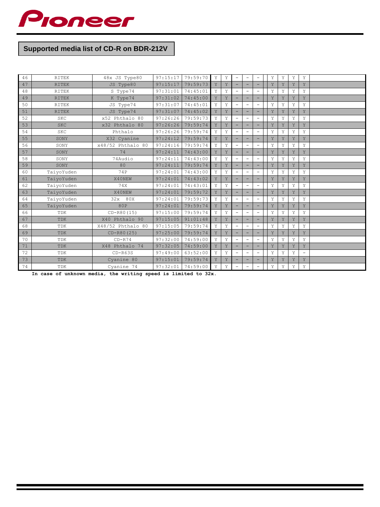

# **Supported media list of CD-R on BDR-212V**

| 46 | <b>RITEK</b> | 48x JS Type80     | 97:15:17 | 79:59:70 | Y | Y | $\overline{\phantom{a}}$ | $\qquad \qquad -$        | ۰                        | Y | Y | Y | Y                        |  |
|----|--------------|-------------------|----------|----------|---|---|--------------------------|--------------------------|--------------------------|---|---|---|--------------------------|--|
| 47 | <b>RITEK</b> | JS Type80         | 97:15:17 | 79:59:73 | Y | Y |                          | ÷                        |                          | Y | Y | Y | Y                        |  |
| 48 | <b>RITEK</b> | S Type74          | 97:31:01 | 74:45:01 | Y | Y | $\equiv$                 | $\qquad \qquad -$        | $\overline{\phantom{0}}$ | Y | Y | Y | Y                        |  |
| 49 | <b>RITEK</b> | K Type74          | 97:31:02 | 74:45:00 | Y | Y |                          |                          |                          | Y | Y | Y | Y                        |  |
| 50 | <b>RITEK</b> | JS Type74         | 97:31:07 | 74:45:01 | Y | Y | $\equiv$                 | $\equiv$                 | $\overline{\phantom{0}}$ | Y | Y | Y | Y                        |  |
| 51 | <b>RITEK</b> | JS Type74         | 97:31:07 | 74:45:02 | Y | Y | ۰                        | -                        |                          | Y | Y | Y | Y                        |  |
| 52 | <b>SKC</b>   | x52 Phthalo 80    | 97:26:26 | 79:59:73 | Y | Y |                          | $\qquad \qquad -$        | $\overline{\phantom{0}}$ | Y | Y | Y | Y                        |  |
| 53 | <b>SKC</b>   | x32 Phthalo 80    | 97:26:26 | 79:59:74 | Y | Y | -                        | $\overline{\phantom{0}}$ |                          | Y | Y | Y | Y                        |  |
| 54 | <b>SKC</b>   | Phthalo           | 97:26:26 | 79:59:74 | Y | Y | $\equiv$                 | $\overline{\phantom{m}}$ | ۰                        | Y | Y | Y | Y                        |  |
| 55 | SONY         | X32 Cyanine       | 97:24:12 | 79:59:74 | Y | Y | -                        | ۰                        | ۳                        | Y | Y | Y | Y                        |  |
| 56 | SONY         | x48/52 Phthalo 80 | 97:24:16 | 79:59:74 | Y | Y |                          | ÷,                       |                          | Y | Y | Y | Y                        |  |
| 57 | SONY         | 74                | 97:24:11 | 74:43:00 | Y | Y | $\overline{\phantom{0}}$ | ÷                        | ۳                        | Y | Y | Y | Y                        |  |
| 58 | SONY         | 74Audio           | 97:24:11 | 74:43:00 | Y | Y |                          | $\equiv$                 | ۰                        | Y | Y | Y | Y                        |  |
| 59 | SONY         | 80                | 97:24:11 | 79:59:74 | Y | Y | -                        | ÷                        | ۳                        | Y | Y | Y | Y                        |  |
| 60 | TaiyoYuden   | 74P               | 97:24:01 | 74:43:00 | Y | Y |                          | $\equiv$                 |                          | Y | Y | Y | Y                        |  |
| 61 | TaiyoYuden   | X40NEW            | 97:24:01 | 74:43:02 | Y | Y |                          | -                        |                          | Y | Y | Y | Y                        |  |
| 62 | TaiyoYuden   | 74X               | 97:24:01 | 74:43:01 | Y | Y | $\overline{\phantom{0}}$ | $\overline{\phantom{m}}$ | ۰                        | Y | Y | Y | Y                        |  |
| 63 | TaiyoYuden   | X40NEW            | 97:24:01 | 79:59:72 | Y | Y |                          | -                        | ۳                        | Y | Y | Y | Y                        |  |
| 64 | TaiyoYuden   | 32x 80X           | 97:24:01 | 79:59:73 | Y | Y | $\qquad \qquad -$        | $\qquad \qquad -$        | $\overline{\phantom{0}}$ | Y | Y | Y | Y                        |  |
| 65 | TaiyoYuden   | 80P               | 97:24:01 | 79:59:74 | Y | Y |                          | ÷                        |                          | Y | Y | Y | Y                        |  |
| 66 | TDK          | $CD - R80(15)$    | 97:15:00 | 79:59:74 | Y | Y | $\equiv$                 | $\qquad \qquad -$        | ۰                        | Y | Y | Y | Y                        |  |
| 67 | TDK          | X40 Phthalo 90    | 97:15:05 | 91:01:48 | Y | Y |                          | -                        |                          | Y | Y | Y | Y                        |  |
| 68 | TDK          | X48/52 Phthalo 80 | 97:15:05 | 79:59:74 | Y | Y | ÷,                       | $\qquad \qquad -$        | $\overline{\phantom{0}}$ | Y | Y | Y | Y                        |  |
| 69 | TDK          | $CD-R80(25)$      | 97:25:00 | 79:59:74 | Y | Y |                          | ۰                        |                          | Y | Y | Y | Y                        |  |
| 70 | TDK          | $CD- R74$         | 97:32:00 | 74:59:00 | Y | Y | $\equiv$                 | $\equiv$                 | $\qquad \qquad -$        | Y | Y | Y | Y                        |  |
| 71 | TDK          | X48 Phthalo 74    | 97:32:05 | 74:59:00 | Y | Y | ۰                        | ۰                        | ۳                        | Y | Y | Y | Y                        |  |
| 72 | TDK          | $CD-R63S$         | 97:49:00 | 63:52:00 | Y | Y | $\equiv$                 | $\overline{\phantom{a}}$ | ۳                        | Y | Y | Y | $\overline{\phantom{a}}$ |  |
| 73 | TDK          | Cyanine 80        | 97:15:01 | 79:59:74 | Y | Y | -                        | ۰                        | ۰                        | Y | Y | Y | Y                        |  |
| 74 | TDK          | Cyanine 74        | 97:32:01 | 74:59:00 | Y | Y |                          | $\equiv$                 |                          | Y | Y | Y | Y                        |  |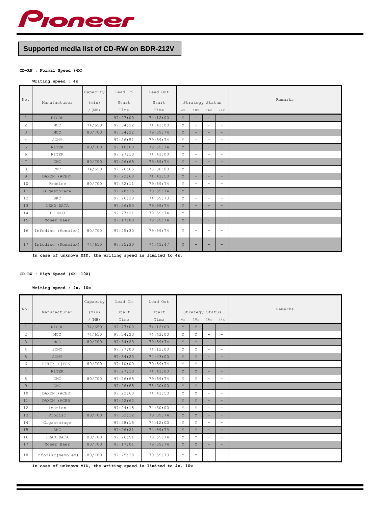

# **Supported media list of CD-RW on BDR-212V**

#### **CD-RW : Normal Speed (4X)**

#### **Writing speed : 4x**

| No.            |                    | Capacity | Lead In  | Lead Out |    |                          |     |                          | Remarks |
|----------------|--------------------|----------|----------|----------|----|--------------------------|-----|--------------------------|---------|
|                | Manufacturer       | (min)    | Start    | Start    |    | Strategy Status          |     |                          |         |
|                |                    | $/$ (MB) | Time     | Time     | 4x | 10x                      | 16x | 24x                      |         |
| $\overline{1}$ | <b>RICOH</b>       |          | 97:27:00 | 74:12:00 | Y  |                          |     | Ξ.                       |         |
| 2              | MCC                | 74/650   | 97:34:22 | 74:43:00 | Y  | $\overline{\phantom{a}}$ | ÷   | $\sim$                   |         |
| $\overline{3}$ | <b>MCC</b>         | 80/700   | 97:34:22 | 79:59:74 | Y  | -                        | Ξ.  | -                        |         |
| 4              | SONY               |          | 97:26:51 | 79:59:74 | Y  | $\overline{\phantom{a}}$ | Ξ.  | $\equiv$                 |         |
| 5              | <b>RITEK</b>       | 80/700   | 97:10:00 | 79:59:74 | Y  | -                        | Ξ.  | -                        |         |
| 6              | RITEK              |          | 97:27:10 | 74:41:00 | Υ  | $\overline{\phantom{a}}$ | Ξ.  | $\overline{\phantom{a}}$ |         |
| $-7$           | CMC                | 80/700   | 97:26:65 | 79:59:74 | Y  | -                        |     | н.                       |         |
| 8              | CMC                | 74/650   | 97:26:65 | 75:00:00 | Y  | $\overline{\phantom{a}}$ | Ξ.  | $\qquad \qquad =$        |         |
| $\overline{9}$ | DAXON (ACER)       |          | 97:22:60 | 74:41:50 | Y  | н.                       | Ξ.  | $\overline{\phantom{a}}$ |         |
| 10             | Prodisc            | 80/700   | 97:32:11 | 79:59:74 | Y  | $\overline{\phantom{a}}$ | Ξ.  | $\overline{\phantom{a}}$ |         |
| 11             | Gigastorage        |          | 97:28:15 | 79:59:74 | Y  | Ξ.                       |     | Ξ.                       |         |
| 12             | <b>SKC</b>         |          | 97:26:20 | 74:59:73 | Y  | $\overline{\phantom{a}}$ | Ξ.  | $\overline{\phantom{a}}$ |         |
| ı<br>13        | LEAD DATA          |          | 97:26:50 | 79:59:74 | Y  | ÷                        | Ξ.  | $\equiv$                 |         |
| 14             | PRINCO             |          | 97:27:21 | 79:59:74 | Y  | $\overline{\phantom{a}}$ | Ξ.  | $\qquad \qquad =$        |         |
| 15             | Moser Baer         |          | 97:17:00 | 79:59:74 | Y  | Ξ.                       |     | -                        |         |
| 16             | Infodisc (Memolex) | 80/700   | 97:25:30 | 79:59:74 | Y  | $\overline{\phantom{a}}$ | -   | $\overline{\phantom{a}}$ |         |
| 17             | Infodisc (Memolex) | 74/650   | 97:25:30 | 74:41:47 | Y  |                          |     |                          |         |

**In case of unknown MID, the writing speed is limited to 4x.**

#### **CD-RW : High Speed (4X--10X)**

**Writing speed : 4x, 10x**

| No.            |                    | Capacity          | Lead In       | Lead Out      |    |                        |          |                          | Remarks |  |
|----------------|--------------------|-------------------|---------------|---------------|----|------------------------|----------|--------------------------|---------|--|
|                | Manufacturer       | (min)<br>$/$ (MB) | Start<br>Time | Start<br>Time | 4x | Strategy Status<br>10x | 16x 24x  |                          |         |  |
|                |                    |                   |               |               |    |                        |          |                          |         |  |
| $\mathbf{1}$   | <b>RICOH</b>       | 74/650            | 97:27:00      | 74:12:00      | Y  | Y                      | -        | Ξ.                       |         |  |
| 2              | MCC                | 74/650            | 97:34:23      | 74:43:00      | Y  | Y                      | Ξ.       | $\equiv$                 |         |  |
| 3              | <b>MCC</b>         | 80/700            | 97:34:23      | 79:59:74      | Y  | Y                      | ÷        | ÷                        |         |  |
| 4              | SONY               |                   | 97:27:00      | 74:12:00      | Y  | Y                      | $\equiv$ | $\equiv$                 |         |  |
| 5              | SONY               |                   | 97:34:23      | 74:43:00      | Y  | Y                      | -        | -                        |         |  |
| 6              | RITEK / (TDK)      | 80/700            | 97:10:00      | 79:59:74      | Y  | Y                      | Ξ.       | $\overline{\phantom{a}}$ |         |  |
| 7              | <b>RITEK</b>       |                   | 97:27:10      | 74:41:00      | Y  | Y                      | ÷        | $\overline{\phantom{a}}$ |         |  |
| 8              | CMC                | 80/700            | 97:26:65      | 79:59:74      | Y  | Y                      | $\equiv$ | $\frac{1}{2}$            |         |  |
| $\overline{9}$ | CMC                |                   | 97:26:65      | 75:00:00      | Y  | Y                      |          | Ξ.                       |         |  |
| 10             | DAXON (ACER)       |                   | 97:22:60      | 74:41:50      | Y  | Y                      | $\equiv$ | $\equiv$                 |         |  |
| 11             | DAXON (ACER)       |                   | 97:22:62      |               | Y  | Y                      | ÷        | $\overline{\phantom{a}}$ |         |  |
| 12             | Imation            |                   | 97:24:15      | 74:30:00      | Y  | Y                      | Ξ.       | $\frac{1}{2}$            |         |  |
| 13             | Prodisc            | 80/700            | 97:32:12      | 79:59:74      | Y  | Y                      |          | Ξ.                       |         |  |
| 14             | Gigastorage        |                   | 97:28:15      | 74:12:00      | Y  | Y                      | Ξ.       | $\equiv$                 |         |  |
| 15             | <b>SKC</b>         |                   | 97:26:21      | 74:59:73      | Y  | Y                      | ÷        | ÷                        |         |  |
| 16             | LEAD DATA          | 80/700            | 97:26:51      | 79:59:74      | Y  | Y                      | $\equiv$ | $\equiv$                 |         |  |
| 17             | Moser Baer         | 80/700            | 97:17:01      | 79:59:74      | Y  | Y                      | Ξ.       | н.                       |         |  |
| 18             | Infodisc (memolex) | 80/700            | 97:25:30      | 79:59:73      | Υ  | Υ                      |          | $\equiv$                 |         |  |